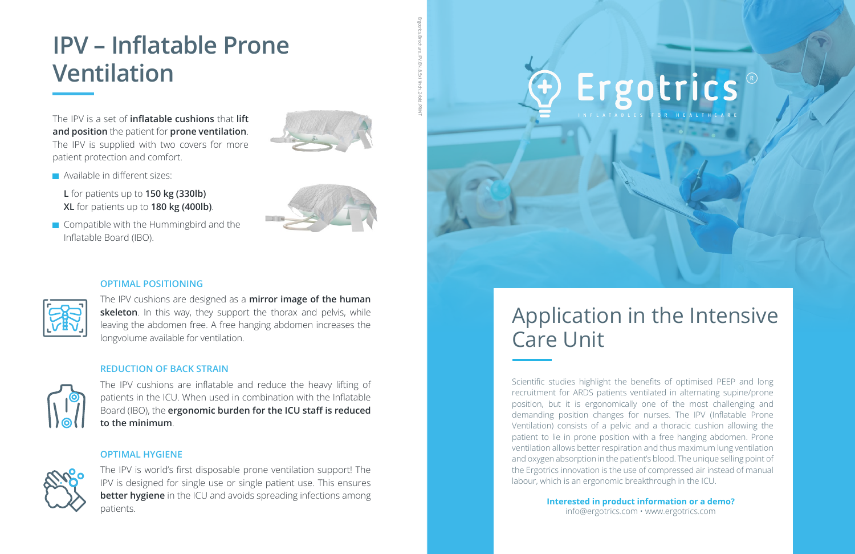#### **OPTIMAL POSITIONING**



The IPV cushions are designed as a **mirror image of the human skeleton**. In this way, they support the thorax and pelvis, while leaving the abdomen free. A free hanging abdomen increases the longvolume available for ventilation.

#### **REDUCTION OF BACK STRAIN**



The IPV cushions are inflatable and reduce the heavy lifting of patients in the ICU. When used in combination with the Inflatable Board (IBO), the **ergonomic burden for the ICU staff is reduced to the minimum**.

#### **OPTIMAL HYGIENE**



Compatible with the Hummingbird and the Inflatable Board (IBO).



The IPV is world's first disposable prone ventilation support! The IPV is designed for single use or single patient use. This ensures **better hygiene** in the ICU and avoids spreading infections among patients.

## **IPV – Inflatable Prone Ventilation**

The IPV is a set of **inflatable cushions** that **lift and position** the patient for **prone ventilation**. The IPV is supplied with two covers for more patient protection and comfort.



**L** for patients up to **150 kg (330lb) XL** for patients up to **180 kg (400lb)**.

## Application in the Intensive

Scientific studies highlight the benefits of optimised PEEP and long recruitment for ARDS patients ventilated in alternating supine/prone position, but it is ergonomically one of the most challenging and demanding position changes for nurses. The IPV (Inflatable Prone Ventilation) consists of a pelvic and a thoracic cushion allowing the patient to lie in prone position with a free hanging abdomen. Prone ventilation allows better respiration and thus maximum lung ventilation and oxygen absorption in the patient's blood. The unique selling point of the Ergotrics innovation is the use of compressed air instead of manual labour, which is an ergonomic breakthrough in the ICU.

> **Interested in product information or a demo?** info@ergotrics.com • www.ergotrics.com

# Ergotrics

Ergotrics\_Brochure\_IPV\_EN\_8,5x11inch\_2-fold\_PRINT

**Available in different sizes:**